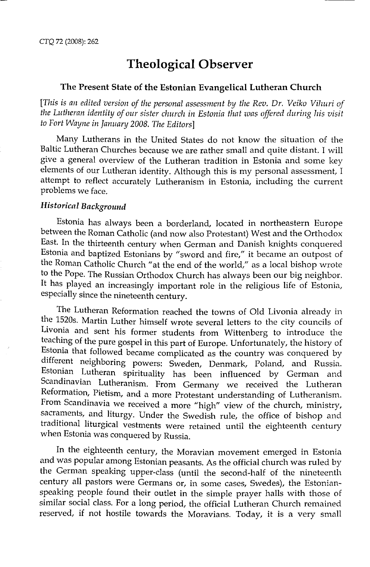#### **The Present State of the Estonian Evangelical Lutheran Church**

[This is an edited version of the personal assessment by the Rev. Dr. Veiko Vihuri of *the Lutheran identity of our sister church in Estonia that was offered during his visit to Fort Wayne in January 2008. The Editors]* 

Many Lutherans in the United States do not know the situation of the Baltic Lutheran Churches because we are rather small and quite distant. I will give a general overview of the Lutheran tradition in Estonia and some key elements of our Lutheran identity. Although this is my personal assessment, I attempt to reflect accurately Lutheranism in Estonia, including the current problems we face.

# *Historical Background*

Estonia has always been a borderland, located in northeastern Europe between the Roman Catholic (and now also Protestant) West and the Orthodox East. In the thirteenth century when German and Danish knights conquered Estonia and baptized Estonians by "sword and fire," it became an outpost of the Roman Catholic Church "at the end of the world," as a local bishop wrote to the Pope. The Russian Orthodox Church has always been our big neighbor. It has played an increasingly important role in the religious life of Estonia, especially since the nineteenth century.

The Lutheran Reformation reached the towns of Old Livonia already in the 1520s. Martin Luther himself wrote several letters to the city councils of Livonia and sent his former students from Wittenberg to introduce the teaching of the pure gospel in this part of Europe. Unfortunately, the history of Estonia that followed became complicated as the country was conquered by different neighboring powers: Sweden, Denmark, Poland, and Russia. Estonian Lutheran spirituality has been influenced by German and Scandinavian Lutheranism. From Germany we received the Lutheran Reformation, Pietism, and a more Protestant understanding of Lutheranism. From Scandinavia we received a more "high" view of the church, ministry, sacraments, and liturgy. Under the Swedish rule, the office of bishop and traditional liturgical vestments were retained until the eighteenth century when Estonia was conquered by Russia.

In the eighteenth century, the Moravian movement emerged in Estonia and was popular among Estonian peasants. As the official church was ruled by the German speaking upper-class (until the second-half of the nineteenth century all pastors were Germans or, in some cases, Swedes), the Estonianspeaking people found their outlet in the simple prayer halls with those of similar social class. For a long period, the official Lutheran Church remained reserved, if not hostile towards the Moravians. Today, it is a very small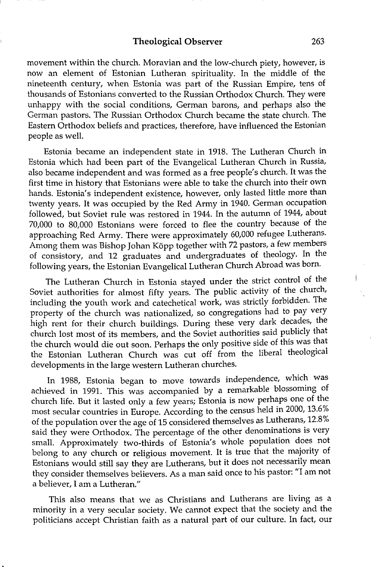movement within the church. Moravian and the low-church piety, however, is now an element of Estonian Lutheran spirituality. In the middle of the nineteenth century, when Estonia was part of the Russian Empire, tens of thousands of Estonians converted to the Russian Orthodox Church. They were unhappy with the social conditions, German barons, and perhaps also the German pastors. The Russian Orthodox Church became the state church. The Eastern Orthodox beliefs and practices, therefore, have influenced the Estonian people as well.

Estonia became an independent state in 1918. The Lutheran Church in Estonia which had been part of the Evangelical Lutheran Church in Russia, also became independent and was formed as a free people's church. It was the first time in history that Estonians were able to take the church into their own hands. Estonia's independent existence, however, only lasted little more than twenty years. It was occupied by the Red Army in 1940. German occupation followed, but Soviet rule was restored in 1944. In the autumn of 1944, about 70,000 to 80,000 Estonians were forced to flee the country because of the approaching Red Army. There were approximately 60,000 refugee Lutherans. Among them was Bishop Johan Kõpp together with 72 pastors, a few members of consistory, and 12 graduates and undergraduates of theology. In the following years, the Estonian Evangelical Lutheran Church Abroad was born.

The Lutheran Church in Estonia stayed under the strict control of the Soviet authorities for almost fifty years. The public activity of the church, including the youth work and catechetical work, was strictly forbidden. The property of the church was nationalized, so congregations had to pay very high rent for their church buildings. During these very dark decades, the church lost most of its members, and the Soviet authorities said publicly that the church would die out soon. Perhaps the only positive side of this was that the Estonian Lutheran Church was cut off from the liberal theological developments in the large western Lutheran churches.

In 1988, Estonia began to move towards independence, which was achieved in 1991. This was accompanied by a remarkable blossoming of church life. But it lasted only a few years; Estonia is now perhaps one of the most secular countries in Europe. According to the census held in 2000, 13.6% of the population over the age of 15 considered themselves as Lutherans, 12.8% said they were Orthodox. The percentage of the other denominations is very small. Approximately two-thirds of Estonia's whole population does not belong to any church or religious movement. It is true that the majority of Estonians would still say they are Lutherans, but it does not necessarily mean they consider themselves believers. As a man said once to his pastor: "I am not a believer, I am a Lutheran."

This also means that we as Christians and Lutherans are living as a minority in a very secular society. We cannot expect that the society and the politicians accept Christian faith as a natural part of our culture. In fact, our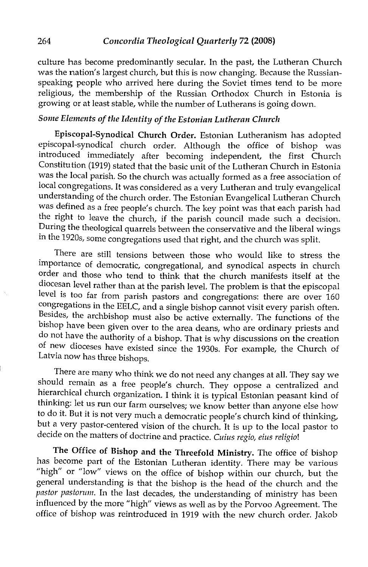culture has become predominantly secular. In the past, the Lutheran Church was the nation's largest church, but this is now changing. Because the Russianspeaking people who arrived here during the Soviet times tend to be more religious, the membership of the Russian Orthodox Church in Estonia is growing or at least stable, while the number of Lutherans is going down.

# *Some Elements of the Identity of the Estonian Lutheran Church*

**Episcopal-Synodical Church Order.** Estonian Lutheranism has adopted episcopal-synodical church order. Although the office of bishop was introduced immediately after becoming independent, the first Church Constitution (1919) stated that the basic unit of the Lutheran Church in Estonia was the local parish. So the church was actually formed as a free association of local congregations. It was considered as a very Lutheran and truly evangelical understanding of the church order. The Estonian Evangelical Lutheran Church was defined as a free people's church. The key point was that each parish had the right to leave the church, if the parish council made such a decision. During the theological quarrels between the conservative and the liberal wings in the 1920s, some congregations used that right, and the church was split.

There are still tensions between those who would like to stress the importance of democratic, congregational, and synodical aspects in church order and those who tend to think that the church manifests itself at the diocesan level rather than at the parish level. The problem is that the episcopal level is too far from parish pastors and congregations: there are over 160 congregations in the EELC, and a single bishop cannot visit every parish often. Besides, the archbishop must also be active externally. The functions of the bishop have been given over to the area deans, who are ordinary priests and do not have the authority of a bishop. That is why discussions on the creation of new dioceses have existed since the 1930s. For example, the Church of Latvia now has three bishops.

There are many who think we do not need any changes at all. They say we should remain as a free people's church. They oppose a centralized and hierarchical church organization. I think it is typical Estonian peasant kind of thinking: let us run our farm ourselves; we know better than anyone else how to do it. But it is not very much a democratic people's church kind of thinking, but a very pastor-centered vision of the church. It is up to the local pastor to decide on the matters of doctrine and practice. *Cuius regio, eius religio!* 

**The Office of Bishop and the Threefold Ministry.** The office of bishop has become part of the Estonian Lutheran identity. There may be various "high" or "low" views on the office of bishop within our church, but the general understanding is that the bishop is the head of the church and the *pastor pasiorum.* In the last decades, the understanding of ministry has been influenced by the more "high" views as well as by the Porvoo Agreement. The office of bishop was reintroduced in 1919 with the new church order. Jakob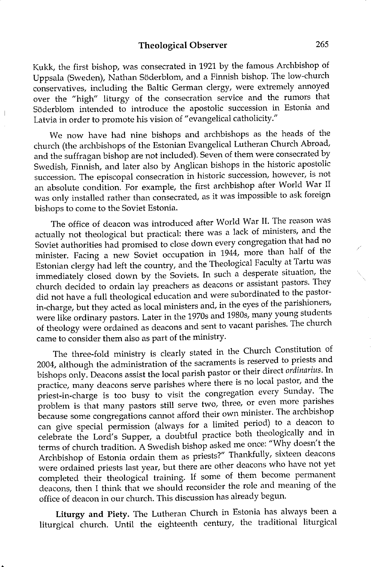Kukk, the first bishop, was consecrated in 1921 by the famous Archbishop of Uppsala (Sweden), Nathan Soderblom, and a Finnish bishop. The low-church conservatives, including the Baltic German clergy, were extremely annoyed over the "high" liturgy of the consecration service and the rumors that Soderblom intended to introduce the apostolic succession in Estonia and Latvia in order to promote his vision of "evangelical catholicity."

We now have had nine bishops and archbishops as the heads of the church (the archbishops of the Estonian Evangelical Lutheran Church Abroad, and the suffragan bishop are not included). Seven of them were consecrated by Swedish, Finnish, and later also by Anglican bishops in the historic apostolic succession. The episcopal consecration in historic succession, however, is not an absolute condition. For example, the first archbishop after World War II was only installed rather than consecrated, as it was impossible to ask foreign bishops to come to the Soviet Estonia.

The office of deacon was introduced after World War II. The reason was actually not theological but practical: there was a lack of ministers, and the Soviet authorities had promised to close down every congregation that had no minister. Facing a new Soviet occupation in 1944, more than half of the Estonian clergy had left the country, and the Theological Faculty at Tartu was immediately closed down by the Soviets. In such a desperate situation, the church decided to ordain lay preachers as deacons or assistant pastors. They did not have a full theological education and were subordinated to the pastorin-charge, but they acted as local ministers and, in the eyes of the parishioners, were like ordinary pastors. Later in the 1970s and 1980s, many young students of theology were ordained as deacons and sent to vacant parishes. The church came to consider them also as part of the ministry.

The three-fold ministry is clearly stated in the Church Constitution of 2004, although the administration of the sacraments is reserved to priests and bishops only. Deacons assist the local parish pastor or their direct *ordinarius.* In practice, many deacons serve parishes where there is no local pastor, and the priest-in-charge is too busy to visit the congregation every Sunday. The problem is that many pastors still serve two, three, or even more parishes because some congregations cannot afford their own minister. The archbishop can give special permission (always for a limited period) to a deacon to celebrate the Lord's Supper, a doubtful practice both theologically and in terms of church tradition. A Swedish bishop asked me once: "Why doesn't the Archbishop of Estonia ordain them as priests?" Thankfully, sixteen deacons were ordained priests last year, but there are other deacons who have not yet completed their theological training. If some of them become permanent deacons, then I think that we should reconsider the role and meaning of the office of deacon in our church. This discussion has already begun.

**Liturgy and Piety.** The Lutheran Church in Estonia has always been a liturgical church. Until the eighteenth century, the traditional liturgical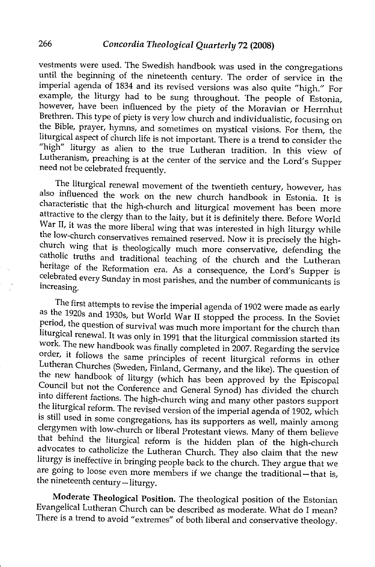vestments were used. The Swedish handbook was used in the congregations until the beginning of the nineteenth century. The order of service in the imperial agenda of 1834 and its revised versions was also quite "high." For example, the liturgy had to be sung throughout. The people of Estonia, however, have been influenced by the piety of the Moravian or Herrnhut Brethren. This type of piety is very low church and individualistic, focusing on the Bible, prayer, hymns, and sometimes on mystical visions. For them, the liturgical aspect of church life is not important. There is a trend to consider the "high" liturgy as alien to the true Lutheran tradition. In this view of Lutheranism, preaching is at the center of the service and the Lord's Supper need not be celebrated frequently.

The liturgical renewal movement of the twentieth century, however, has also influenced the work on the new church handbook in Estonia. It is characteristic that the high-church and liturgical movement has been more attractive to the clergy than to the laity, but it is definitely there. Before World War II, it was the more liberal wing that was interested in high liturgy while the low-church conservatives remained reserved. Now it is precisely the highchurch wing that is theologically much more conservative, defending the catholic truths and traditional teaching of the church and the Lutheran heritage of the Reformation era. As a consequence, the Lord's Supper is celebrated every Sunday in most parishes, and the number of communicants is increasing.

The first attempts to revise the imperial agenda of 1902 were made as early as the 1920s and 1930s, but World War II stopped the process. In the Soviet period, the question of survival was much more important for the church than liturgical renewal. It was only in 1991 that the liturgical commission started its work. The new handbook was finally completed in 2007. Regarding the service order, it follows the same principles of recent liturgical reforms in other Lutheran Churches (Sweden, Finland, Germany, and the like). The question of the new handbook of liturgy (which has been approved by the Episcopal Council but not the Conference and General Synod) has divided the church into different factions. The high-church wing and many other pastors support the liturgical reform. The revised version of the imperial agenda of 1902, which is still used in some congregations, has its supporters as well, mainly among clergymen with low-church or liberal Protestant views. Many of them believe that behind the liturgical reform is the hidden plan of the high-church advocates to catholicize the Lutheran Church. They also claim that the new liturgy is ineffective in bringing people back to the church. They argue that we are going to loose even more members if we change the traditional-that is, the nineteenth century- liturgy.

**Moderate Theological Position.** The theological position of the Estonian Evangelical Lutheran Church can be described as moderate. What do I mean? There is a trend to avoid "extremes" of both liberal and conservative theology.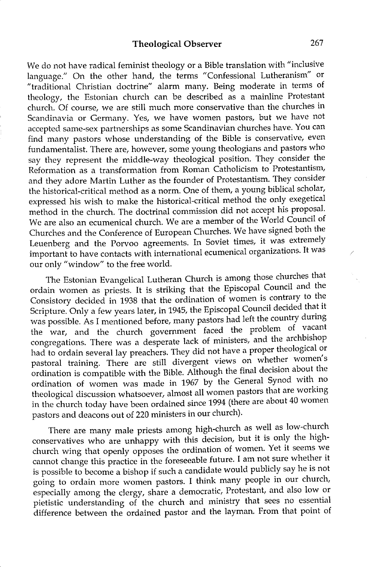We do not have radical feminist theology or a Bible translation with "inclusive language." On the other hand, the terms "Confessional Lutheranism" or "traditional Christian doctrine" alarm many. Being moderate in terms of theology, the Estonian church can be described as a mainline Protestant church. Of course, we are still much more conservative than the churches in Scandinavia or Germany. Yes, we have women pastors, but we have not accepted same-sex partnerships as some Scandinavian churches have. You can find many pastors whose understanding of the Bible is conservative, even fundamentalist. There are, however, some young theologians and pastors who say they represent the middle-way theological position. They consider the Reformation as a transformation from Roman Catholicism to Protestantism, and they adore Martin Luther as the founder of Protestantism. They consider the historical-critical method as a norm. One of them, a young biblical scholar, expressed his wish to make the historical-critical method the only exegetical method in the church. The doctrinal commission did not accept his proposal. We are also an ecumenical church. We are a member of the World Council of Churches and the Conference of European Churches. We have signed both the Leuenberg and the Porvoo agreements. In Soviet times, it was extremely important to have contacts with international ecumenical organizations. It was our only "window" to the free world.

The Estonian Evangelical Lutheran Church is among those churches that ordain women as priests. It is striking that the Episcopal Council and the Consistory decided in 1938 that the ordination of women is contrary to the Scripture. Only a few years later, in 1945, the Episcopal Council decided that it was possible. As I mentioned before, many pastors had left the country during the war, and the church government faced the problem of vacant congregations. There was a desperate lack of ministers, and the archbishop had to ordain several lay preachers. They did not have a proper theological or pastoral training. There are still divergent views on whether women's ordination is compatible with the Bible. Although the final decision about the ordination of women was made in 1967 by the General Synod with no theological discussion whatsoever, almost all women pastors that are working in the church today have been ordained since 1994 (there are about 40 women pastors and deacons out of 220 ministers in our church).

There are many male priests among high-church as well as low-church conservatives who are unhappy with this decision, but it is only the highchurch wing that openly opposes the ordination of women. Yet it seems we cannot change this practice in the foreseeable future. I am not sure whether it is possible to become a bishop if such a candidate would publicly say he is not going to ordain more women pastors. I think many people in our church, especially among the clergy, share a democratic, Protestant, and also low or pietistic understanding of the church and ministry that sees no essential difference between the ordained pastor and the layman. From that point of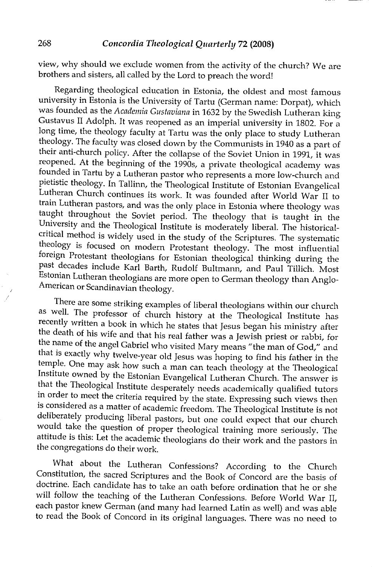view, why should we exclude women from the activity of the church? We are brothers and sisters, all called by the Lord to preach the word!

Regarding theological education in Estonia, the oldest and most famous university in Estonia is the University of Tartu (German name: Dorpat), which was founded as the *Academia Gustaviana* in 1632 by the Swedish Lutheran king Gustavus II Adolph. It was reopened as an imperial university in 1802. For a long time, the theology faculty at Tartu was the only place to study Lutheran theology. The faculty was closed down by the Communists in 1940 as a part of their anti-church policy. After the collapse of the Soviet Union in 1991, it was reopened. At the beginning of the 1990s, a private theological academy was founded in Tartu by a Lutheran pastor who represents a more low-church and pietistic theology. In Tallinn, the Theological Institute of Estonian Evangelical Lutheran Church continues its work. It was founded after World War II to train Lutheran pastors, and was the only place in Estonia where theology was taught throughout the Soviet period. The theology that is taught in the University and the Theological Institute is moderately liberal. The historicalcritical method is widely used in the study of the Scriptures. The systematic theology is focused on modern Protestant theology. The most influential foreign Protestant theologians for Estonian theological thinking during the past decades include Karl Barth, Rudolf Bultmann, and Paul Tillich. Most Estonian Lutheran theologians are more open to German theology than Anglo-American or Scandinavian theology.

There are some striking examples of liberal theologians within our church as well. The professor of church history at the Theological Institute has recently written a book in which he states that Jesus began his ministry after the death of his wife and that his real father was a Jewish priest or rabbi, for the name of the angel Gabriel who visited Mary means "the man of God," and that is exactly why twelve-year old Jesus was hoping to find his father in the temple. One may ask how such a man can teach theology at the Theological Institute owned by the Estonian Evangelical Lutheran Church. The answer is that the Theological Institute desperately needs academically qualified tutors in order to meet the criteria required by the state. Expressing such views then is considered as a matter of academic freedom. The Theological Institute is not deliberately producing liberal pastors, but one could expect that our church would take the question of proper theological training more seriously. The attitude is this: Let the academic theologians do their work and the pastors in the congregations do their work.

What about the Lutheran Confessions? According to the Church Constitution, the sacred Scriptures and the Book of Concord are the basis of doctrine. Each candidate has to take an oath before ordination that he or she will follow the teaching of the Lutheran Confessions. Before World War II, each pastor knew German (and many had learned Latin as well) and was able to read the Book of Concord in its original languages. There was no need to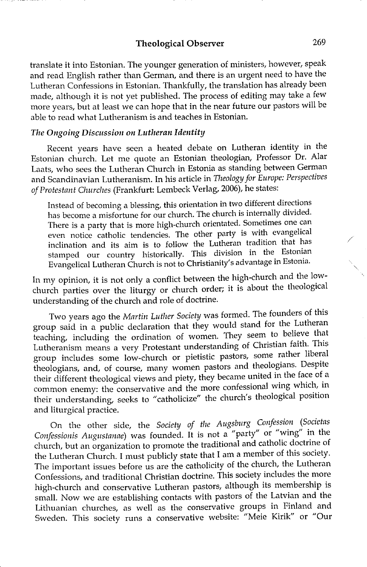translate it into Estonian. The younger generation of ministers, however, speak and read English rather than German, and there is an urgent need to have the Lutheran Confessions in Estonian. Thankfully, the translation has already been made, although it is not yet published. The process of editing may take a few more years, but at least we can hope that in the near future our pastors will be able to read what Lutheranism is and teaches in Estonian.

#### *The Ongoing Discussion on Lutheran Identity*

Recent years have seen a heated debate on Lutheran identity in the Estonian church. Let me quote an Estonian theologian, Professor Dr. Alar Laats, who sees the Lutheran Church in Estonia as standing between German and Scandinavian Lutheranism. In his article in *Theology for Europe: Perspectives of Protestant Churches* (Frankfurt: Lembeck Verlag, 2006), he states:

Instead of becoming a blessing, this orientation in two different directions has become a misfortune for our church. The church is internally divided. There is a party that is more high-church orientated. Sometimes one can even notice catholic tendencies. The other party is with evangelical inclination and its aim is to follow the Lutheran tradition that has stamped our country historically. This division in the Estonian Evangelical Lutheran Church is not to Christianity's advantage in Estonia.

In my opinion, it is not only a conflict between the high-church and the lowchurch parties over the liturgy or church order; it is about the theological understanding of the church and role of doctrine.

Two years ago the *Martin Luther Society* was formed. The founders of this group said in a public declaration that they would stand for the Lutheran teaching, including the ordination of women. They seem to believe that Lutheranism means a very Protestant understanding of Christian faith. This group includes some low-church or pietistic pastors, some rather liberal theologians, and, of course, many women pastors and theologians. Despite their different theological views and piety, they became united in the face of a common enemy: the conservative and the more confessional wing which, in their understanding, seeks to "catholicize" the church's theological position and liturgical practice.

On the other side, the *Society of the Augsburg Confession (Societas Confessionis Augustanae)* was founded. It is not a "party" or "wing" in the church, but an organization to promote the traditional and catholic doctrine of the Lutheran Church. I must publicly state that I am a member of this society. The important issues before us are the catholicity of the church, the Lutheran Confessions, and traditional Christian doctrine. This society includes the more high-church and conservative Lutheran pastors, although its membership is small. Now we are establishing contacts with pastors of the Latvian and the Lithuanian churches, as well as the conservative groups in Finland and Sweden. This society runs a conservative website: "Meie Kirik" or "Our

/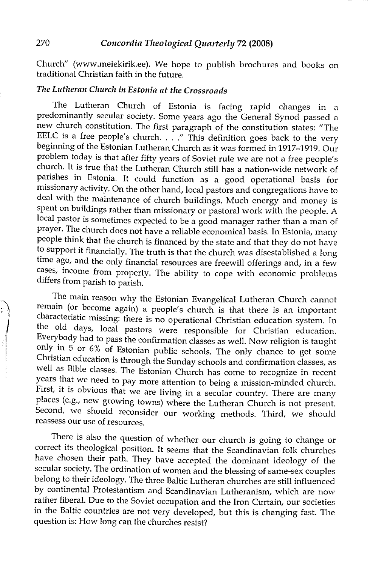Church" (www.meiekirik.ee). We hope to publish brochures and books on traditional Christian faith **in** the future.

# *The Lutheran Church' in Estonia at the Crossroads*

The Lutheran Church of Estonia is facing rapid changes in a predominantly secular society. Some years ago the General Synod passed a new church constitution. The first paragraph of the constitution states: "The EELC is a free people's church.  $\therefore$  "This definition goes back to the very beginning of the Estonian Lutheran Church as it was formed in 1917-1919. Our problem today is that after fifty years of Soviet rule we are not a free people's church. It is true that the Lutheran Church still has a nation-wide network of parishes in Estonia. It could function as a good operational basis for missionary activity. On the other hand, local pastors and congregations have to deal with the maintenance of church buildings. Much energy and money is spent on buildings rather than missionary or pastoral work with the people. A local pastor is sometimes expected to be a good manager rather than a man of prayer. The church does not have a reliable economical basis. In Estonia, many people think that the church is financed by the state and that they do not have to support it financially. The truth is that the church was disestablished a long time ago, and the only financial resources are freewill offerings and, in a few cases, income from property. The ability to cope with economic problems differs from parish to parish.

The main reason why the Estonian Evangelical Lutheran Church cannot remain (or become again) a people's church is that there is an important characteristic missing: there is no operational Christian education system. In the old days, local pastors were responsible for Christian education. Everybody had to pass the confirmation classes as well. Now religion is taught only in 5 or 6% of Estonian public schools. The only chance to get some Christian education is through the Sunday schools and confirmation classes, as well as Bible classes. The Estonian Church has come to recognize in recent years that we need to pay more attention to being a mission-minded church. First, it is obvious that we are living in a secular country. There are many places (e.g., new growing towns) where the Lutheran Church is not present. Second, we should reconsider our working methods. Third, we should reassess our use of resources.

There is also the question of whether our church is going to change or correct its theological position. It seems that the Scandinavian folk churches have chosen their path. They have accepted the dominant ideology of the secular society. The ordination of women and the blessing of same-sex couples belong to their ideology. The three Baltic Lutheran churches are still influenced by continental Protestantism and Scandinavian Lutheranism, which are now rather liberal. Due to the Soviet occupation and the Iron Curtain, our societies in the Baltic countries are not very developed, but this is changing fast. The question is: How long can the churches resist?

*'!* 

 $\mathbb T$ l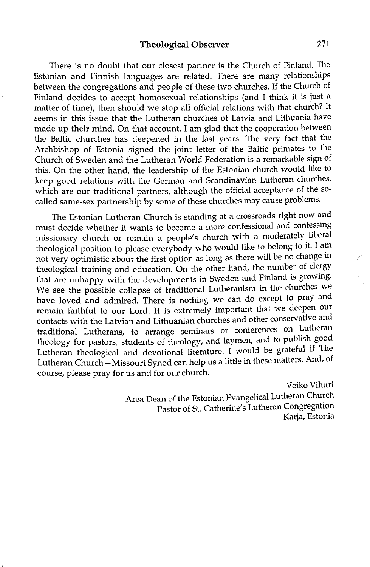There is no doubt that our closest partner is the Church of Finland. The Estonian and Finnish languages are related. There are many relationships between the congregations and people of these two churches. If the Church of Finland decides to accept homosexual relationships (and I think it is just a matter of time), then should we stop all official relations with that church? It seems in this issue that the Lutheran churches of Latvia and Lithuania have made up their mind. On that account, I am glad that the cooperation between the Baltic churches has deepened in the last years. The very fact that the Archbishop of Estonia signed the joint letter of the Baltic primates to the Church of Sweden and the Lutheran World Federation is a remarkable sign of this. On the other hand, the leadership of the Estonian church would like to keep good relations with the German and Scandinavian Lutheran churches, which are our traditional partners, although the official acceptance of the socalled same-sex partnership by some of these churches may cause problems.

The Estonian Lutheran Church is standing at a crossroads right now and must decide whether it wants to become a more confessional and confessing missionary church or remain a people's church with a moderately liberal theological position to please everybody who would like to belong to it. I am not very optimistic about the first option as long as there will be no change m theological training and education. On the other hand, the number of clergy that are unhappy with the developments in Sweden and Finland is growing. We see the possible collapse of traditional Lutheranism in the churches we have loved and admired. There is nothing we can do except to pray and remain faithful to our Lord. It is extremely important that we deepen our contacts with the Latvian and Lithuanian churches and other conservative and traditional Lutherans, to arrange seminars or conferences on Lutheran theology for pastors, students of theology, and laymen, and to publish good Lutheran theological and devotional literature. I would be grateful if The Lutheran Church-Missouri Synod can help us a little in these matters. And, of course, please pray for us and for our church.

> Veiko Vihuri Area Dean of the Estonian Evangelical Lutheran Church Pastor of St. Catherine's Lutheran Congregation Karia, Estonia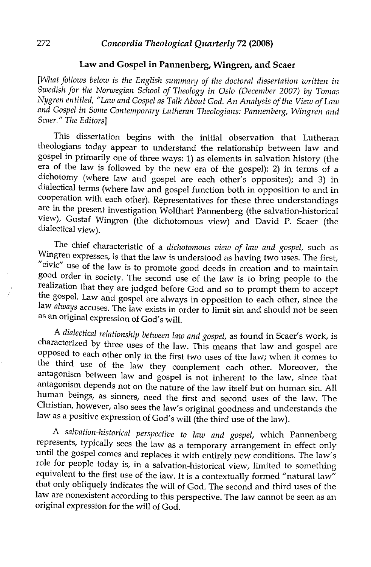### **Law and Gospel in Pannenberg, Wingren, and Scaer**

*[What follows below is the English summarq of the doctoral dissertation written in Swedish for the Norwegian School of Theology in Oslo (December 2007) by Tomas Nygren entitled, "Law and Gospel as Talk About God. An Analysis of the View of Law and Gospel in Some Contemporary Lutheran Theologians: Pannenberg, Wingren and Scaer." The Editors]* 

This dissertation begins with the initial observation that Lutheran theologians today appear to understand the relationship between law and gospel in primarily one of three ways: 1) as elements in salvation history (the era of the law is followed by the new era of the gospel); 2) in terms of a dichotomy (where law and gospel are each other's opposites); and 3) in dialectical terms (where law and gospel function both in opposition to and in cooperation with each other). Representatives for these three understandings are in the present investigation Wolfhart Pannenberg (the salvation-historical view), Gustaf Wingren (the dichotomous view) and David P. Scaer (the dialectical view).

The chief characteristic of a *dichotomous view of law and gospel,* such as Wingren expresses, is that the law is understood as having two uses. The first, "civic" use of the law is to promote good deeds in creation and to maintain good order in society. The second use of the law is to bring people to the realization that they are judged before God and so to prompt them to accept the gospel. Law and gospel are always in opposition to each other, since the law *always* accuses. The law exists in order to limit sin and should not be seen as an original expression of God's will.

A *dialectical relationship between law and gospel,* as found in Scaer's work, is characterized by three uses of the law. This means that law and gospel are opposed to each other only in the first two uses of the law; when it comes to the third use of the law they complement each other. Moreover, the antagonism between law and gospel is not inherent to the law, since that antagonism depends not on the nature of the law itself but on human sin. All human beings, as sinners, need the first and second uses of the law. The Christian, however, also sees the law's original goodness and understands the law as a positive expression of God's will (the third use of the law).

A *salvation-historical perspective to law and gospel,* which Pannenberg represents, typically sees the law as a temporary arrangement in effect only until the gospel comes and replaces it with entirely new conditions. The law's role for people today is, in a salvation-historical view, limited to something equivalent to the first use of the law. It is a contextually formed "natural law" that only obliquely indicates the will of God. The second and third uses of the law are nonexistent according to this perspective. The law cannot be seen as an original expression for the will of God.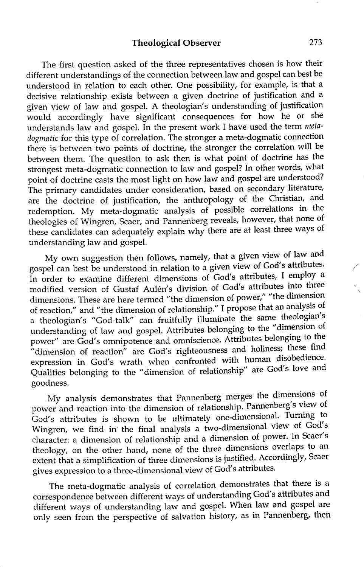The first question asked of the three representatives chosen is how their different understandings of the connection between law and gospel can best be understood in relation to each other. One possibility, for example, is that a decisive relationship exists between a given doctrine of justification and a given view of law and gospel. A theologian's understanding of justification would accordingly have significant consequences for how he or she understands law and gospel. In the present work I have used the term *metadogmatic* for this type of correlation. The stronger a meta-dogmatic connection there is between two points of doctrine, the stronger the correlation will be between them. The question to ask then is what point of doctrine has the strongest meta-dogmatic connection to law and gospel? In other words, what point of doctrine casts the most light on how law and gospel are understood? The primary candidates under consideration, based on secondary literature, are the doctrine of justification, the anthropology of the Christian, and redemption. My meta-dogmatic analysis of possible correlations in the theologies of Wingren, Scaer, and Pannenberg reveals, however, that none of these candidates can adequately explain why there are at least three ways of understanding law and gospel.

My own suggestion then follows, namely, that a given view of law and gospel can best be understood in relation to a given view of God's attributes. In order to examine different dimensions of God's attributes, I employ a modified version of Gustaf Aulen's division of God's attributes into three dimensions. These are here termed "the dimension of power," "the dimension of reaction," and "the dimension of relationship." I propose that an analysis of a theologian's "God-talk" can fruitfully illuminate the same theologian's understanding of law and gospel. Attributes belonging to the "dimension of power" are God's omnipotence and omniscience. Attributes belonging to the "dimension of reaction" are God's righteousness and holiness; these find expression in God's wrath when confronted with human disobedience. Qualities belonging to the "dimension of relationship" are God's love and goodness.

My analysis demonstrates that Pannenberg merges the dimensions of power and reaction into the dimension of relationship. Pannenberg's view of God's attributes is shown to be ultimately one-dimensional. Turning to Wingren, we find in the final analysis a two-dimensional view of God's character: a dimension of relationship and a dimension of power. In Scaer's theology, on the other hand, none of the three dimensions overlaps to an extent that a simplification of three dimensions is justified. Accordingly, Scaer gives expression to a three-dimensional view of God's attributes.

The meta-dogmatic analysis of correlation demonstrates that there is a correspondence between different ways of understanding God's attributes and different ways of understanding law and gospel. When law and gospel are only seen from the perspective of salvation history, as in Pannenberg, then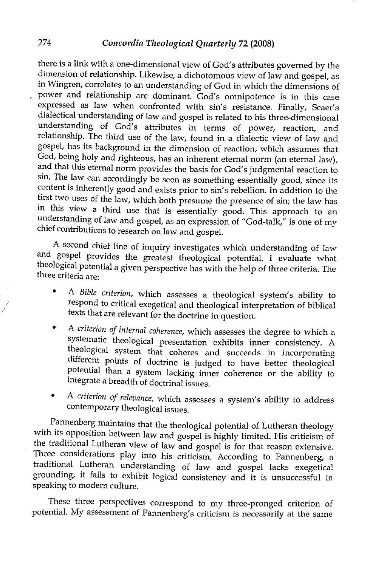there is a link with a one-dimensional view of God's attributes governed by the dimension of relationship. Likewise, a dichotomous view of law and gospel, as in Wingren, correlates to an understanding of God in which the dimensions of \_ power and relationship are dominant. God's omnipotence is in this case expressed as law when confronted with sin's resistance. Finally, Scaer's dialectical understanding of law and gospel is related to his three-dimensional understanding of God's attributes in terms of power, reaction, and relationship. The third use of the law, found in a dialectic view of law and gospel, has its background in the dimension of reaction, which assumes that God, being holy and righteous, has an inherent eternal norm (an eternal law), and that this eternal norm provides the basis for God's judgmental reaction to sin. The law can accordingly be seen as something essentially good, since its content is inherently good and exists prior to sin's rebellion. In addition to the first two uses of the law, which both presume the presence of sin; the law has in this view a third use that is essentially good. This approach to an understanding of law and gospel, as an expression of "God-talk," is one of my chief contributions to research on law and gospel.

A second chief line of inquiry investigates which understanding of law and gospel provides the greatest theological potential. I evaluate what theological potential a given perspective has with the help of three criteria. The three criteria are:

- A *Bible criterion,* which assesses a theological system's ability to respond to critical exegetical and theological interpretation of biblical texts that are relevant for the doctrine in question. •
- <sup>A</sup>*criterion of internal coherence,* which assesses the degree to which a systematic theological presentation exhibits inner consistency. A theological system that coheres and succeeds in incorporating different points of doctrine is judged to have better theological potential than a system lacking inner coherence or the ability to integrate a breadth of doctrinal issues. •
- <sup>A</sup>*criterion of relevance,* which assesses a system's ability to address contemporary theological issues. •

Pannenberg maintains that the theological potential of Lutheran theology with its opposition between law and gospel is highly limited. His criticism of the traditional Lutheran view of law and gospel is for that reason extensive. Three considerations play into his criticism. According to Pannenberg, a traditional Lutheran understanding of law and gospel lacks exegetical grounding, it fails to exhibit logical consistency and it is unsuccessful in speaking to modern culture.

These three perspectives correspond to my three-pronged criterion of potential. My assessment of Pannenberg's criticism is necessarily at the same

*I I*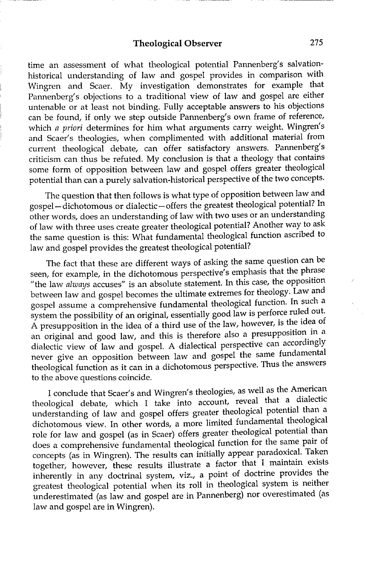time an assessment of what theological potential Pannenberg's salvationhistorical understanding of law and gospel provides in comparison with Wingren and Scaer. My investigation demonstrates for example that Pannenberg's objections to a traditional view of law and gospel are either untenable or at least not binding. Fully acceptable answers to his objections can be found, if only we step outside Pannenberg's own frame of reference, which *a priori* determines for him what arguments carry weight. Wingren's and Scaer's theologies, when complimented with additional material from current theological debate, can offer satisfactory answers. Pannenberg's criticism can thus be refuted. My conclusion is that a theology that contains some form of opposition between law and gospel offers greater theological potential than can a purely salvation-historical perspective of the two concepts.

The question that then follows is what type of opposition between law and gospel- dichotomous or dialectic- offers the greatest theological potential? In other words, does an understanding of law with two uses or an understanding of law with three uses create greater theological potential? Another way to ask the same question is this: What fundamental theological function ascribed to law and gospel provides the greatest theological potential?

The fact that these are different ways of asking the same question can be seen, for example, in the dichotomous perspective's emphasis that the phrase "the law *always* accuses" is an absolute statement. In this case, the opposition between law and gospel becomes the ultimate extremes for theology. Law and gospel assume a comprehensive fundamental theological function. In such a system the possibility of an original, essentially good law is perforce ruled out. A presupposition in the idea of a third use of the law, however, is the idea of an original and good law, and this is therefore also a presupposition in a dialectic view of law and gospel. A dialectical perspective can accordingly never give an opposition between law and gospel the same fundamental theological function as it can in a dichotomous perspective. Thus the answers to the above questions coincide.

I conclude that Scaer's and Wingren's theologies, as well as the American theological debate, which I take into account, reveal that a dialectic understanding of law and gospel offers greater theological potential than a dichotomous view. In other words, a more limited fundamental theological role for law and gospel (as in Scaer) offers greater theological potential than does a comprehensive fundamental theological function for the same pair of concepts (as in Wingren). The results can initially appear paradoxical. Taken together, however, these results illustrate a factor that I maintain exists inherently in any doctrinal system, viz., a point of doctrine provides the greatest theological potential when its roll in theological system is neither underestimated (as law and gospel are in Pannenberg) nor overestimated (as law and gospel are in Wingren).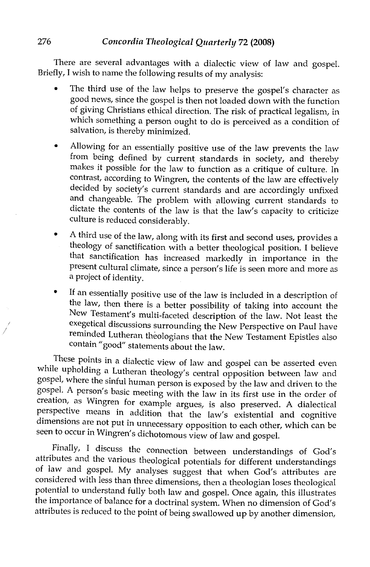There are several advantages with a dialectic view of law and gospel. Briefly, I wish to name the following results of my analysis:

- The third use of the law helps to preserve the gospel's character as good news, since the gospel is then not loaded down with the function of giving Christians ethical direction. The risk of practical legalism, in which something a person ought to do is perceived as a condition of salvation, is thereby minimized. •
- Allowing for an essentially positive use of the law prevents the law from being defined by current standards in society, and thereby makes it possible for the law to function as a critique of culture. In contrast, according to Wingren, the contents of the law are effectively decided by society's current standards and are accordingly unfixed and changeable. The problem with allowing current standards to dictate the contents of the law is that the law's capacity to criticize culture is reduced considerably. •
- A third use of the law, along with its first and second uses, provides a theology of sanctification with a better theological position. I believe that sanctification has increased markedly in importance in the present cultural climate, since a person's life is seen more and more as a project of identity. •
- If an essentially positive use of the law is included in a description of the law, then there is a better possibility of taking into account the New Testament's multi-faceted description of the law. Not least the exegetical discussions surrounding the New Perspective on Paul have reminded Lutheran theologians that the New Testament Epistles also contain" good" statements about the law. •

These points in a dialectic view of law and gospel can be asserted even while upholding a Lutheran theology's central opposition between law and gospel, where the sinful human person is exposed by the law and driven to the gospel. A person's basic meeting with the law in its first use in the order of creation, as Wingren for example argues, is also preserved. A dialectical perspective means in addition that the law's existential and cognitive dimensions are not put in unnecessary opposition to each other, which can be seen to occur in Wingren's dichotomous view of law and gospel.

Finally, I discuss the connection between understandings of God's attributes and the various theological potentials for different understandings of law and gospel. My analyses suggest that when God's attributes are considered with less than three dimensions, then a theologian loses theological potential to understand fully both law and gospel. Once again, this illustrates the importance of balance for a doctrinal system. When no dimension of God's attributes is reduced to the point of being swallowed up by another dimension,